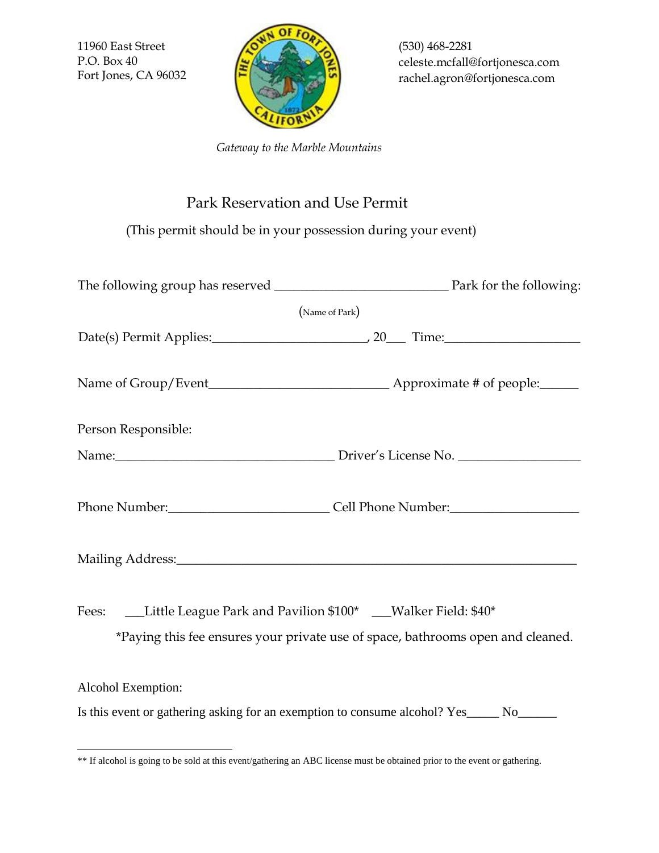11960 East Street P.O. Box 40 Fort Jones, CA 96032



(530) 468-2281 celeste.mcfall@fortjonesca.com rachel.agron@fortjonesca.com

 *Gateway to the Marble Mountains*

## Park Reservation and Use Permit

(This permit should be in your possession during your event)

| (Name of Park)                                                                                                                                            |  |  |
|-----------------------------------------------------------------------------------------------------------------------------------------------------------|--|--|
|                                                                                                                                                           |  |  |
|                                                                                                                                                           |  |  |
| Person Responsible:                                                                                                                                       |  |  |
|                                                                                                                                                           |  |  |
| Phone Number: Cell Phone Number:                                                                                                                          |  |  |
| Mailing Address: 1988 Mailing Address:                                                                                                                    |  |  |
| Fees: ___Little League Park and Pavilion \$100* ___Walker Field: \$40*<br>*Paying this fee ensures your private use of space, bathrooms open and cleaned. |  |  |
| Alcohol Exemption:                                                                                                                                        |  |  |
| Is this event or gathering asking for an exemption to consume alcohol? Yes______ No_______                                                                |  |  |

<sup>\*\*</sup> If alcohol is going to be sold at this event/gathering an ABC license must be obtained prior to the event or gathering.